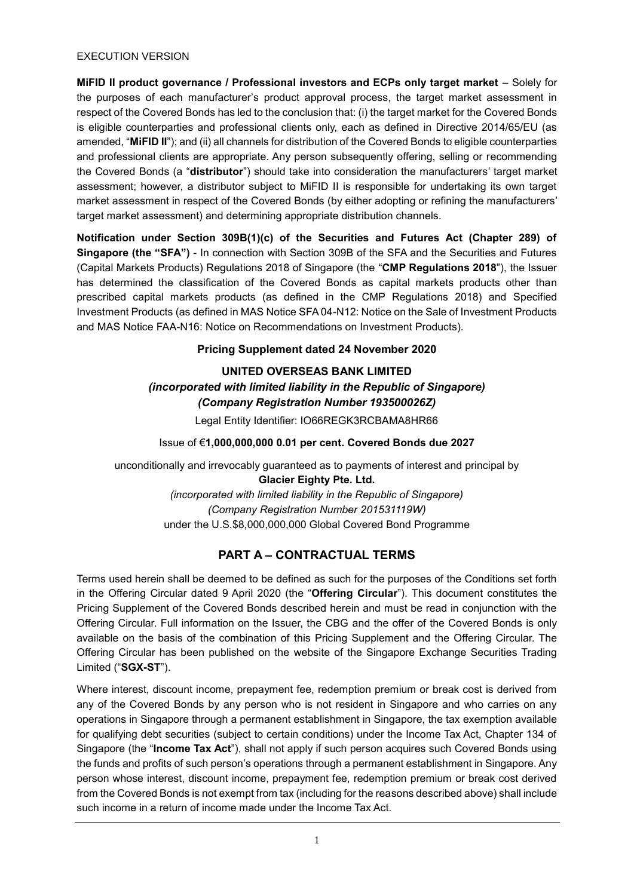### EXECUTION VERSION

**MiFID II product governance / Professional investors and ECPs only target market** – Solely for the purposes of each manufacturer's product approval process, the target market assessment in respect of the Covered Bonds has led to the conclusion that: (i) the target market for the Covered Bonds is eligible counterparties and professional clients only, each as defined in Directive 2014/65/EU (as amended, "**MiFID II**"); and (ii) all channels for distribution of the Covered Bonds to eligible counterparties and professional clients are appropriate. Any person subsequently offering, selling or recommending the Covered Bonds (a "**distributor**") should take into consideration the manufacturers' target market assessment; however, a distributor subject to MiFID II is responsible for undertaking its own target market assessment in respect of the Covered Bonds (by either adopting or refining the manufacturers' target market assessment) and determining appropriate distribution channels.

**Notification under Section 309B(1)(c) of the Securities and Futures Act (Chapter 289) of Singapore (the "SFA")** - In connection with Section 309B of the SFA and the Securities and Futures (Capital Markets Products) Regulations 2018 of Singapore (the "**CMP Regulations 2018**"), the Issuer has determined the classification of the Covered Bonds as capital markets products other than prescribed capital markets products (as defined in the CMP Regulations 2018) and Specified Investment Products (as defined in MAS Notice SFA 04-N12: Notice on the Sale of Investment Products and MAS Notice FAA-N16: Notice on Recommendations on Investment Products).

# **Pricing Supplement dated 24 November 2020**

# **UNITED OVERSEAS BANK LIMITED** *(incorporated with limited liability in the Republic of Singapore) (Company Registration Number 193500026Z)*

Legal Entity Identifier: IO66REGK3RCBAMA8HR66

# Issue of €**1,000,000,000 0.01 per cent. Covered Bonds due 2027**

unconditionally and irrevocably guaranteed as to payments of interest and principal by **Glacier Eighty Pte. Ltd.** *(incorporated with limited liability in the Republic of Singapore) (Company Registration Number 201531119W)* under the U.S.\$8,000,000,000 Global Covered Bond Programme

# **PART A – CONTRACTUAL TERMS**

Terms used herein shall be deemed to be defined as such for the purposes of the Conditions set forth in the Offering Circular dated 9 April 2020 (the "**Offering Circular**"). This document constitutes the Pricing Supplement of the Covered Bonds described herein and must be read in conjunction with the Offering Circular. Full information on the Issuer, the CBG and the offer of the Covered Bonds is only available on the basis of the combination of this Pricing Supplement and the Offering Circular. The Offering Circular has been published on the website of the Singapore Exchange Securities Trading Limited ("**SGX-ST**").

Where interest, discount income, prepayment fee, redemption premium or break cost is derived from any of the Covered Bonds by any person who is not resident in Singapore and who carries on any operations in Singapore through a permanent establishment in Singapore, the tax exemption available for qualifying debt securities (subject to certain conditions) under the Income Tax Act, Chapter 134 of Singapore (the "**Income Tax Act**"), shall not apply if such person acquires such Covered Bonds using the funds and profits of such person's operations through a permanent establishment in Singapore. Any person whose interest, discount income, prepayment fee, redemption premium or break cost derived from the Covered Bonds is not exempt from tax (including for the reasons described above) shall include such income in a return of income made under the Income Tax Act.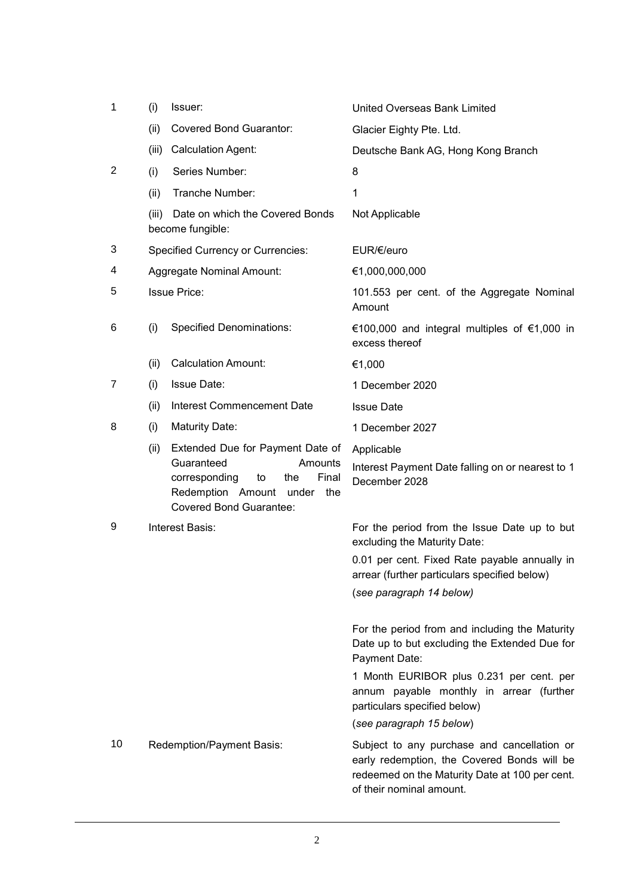| 1              | (i)                                      | Issuer:                                                                                                                                                              | <b>United Overseas Bank Limited</b>                                                                                                                                      |
|----------------|------------------------------------------|----------------------------------------------------------------------------------------------------------------------------------------------------------------------|--------------------------------------------------------------------------------------------------------------------------------------------------------------------------|
|                | (ii)                                     | <b>Covered Bond Guarantor:</b>                                                                                                                                       | Glacier Eighty Pte. Ltd.                                                                                                                                                 |
|                | (iii)                                    | <b>Calculation Agent:</b>                                                                                                                                            | Deutsche Bank AG, Hong Kong Branch                                                                                                                                       |
| $\overline{2}$ | (i)                                      | Series Number:                                                                                                                                                       | 8                                                                                                                                                                        |
|                | (ii)                                     | Tranche Number:                                                                                                                                                      | 1                                                                                                                                                                        |
|                |                                          | (iii) Date on which the Covered Bonds<br>become fungible:                                                                                                            | Not Applicable                                                                                                                                                           |
| 3              | <b>Specified Currency or Currencies:</b> |                                                                                                                                                                      | EUR/€/euro                                                                                                                                                               |
| 4              | <b>Aggregate Nominal Amount:</b>         |                                                                                                                                                                      | €1,000,000,000                                                                                                                                                           |
| 5              | <b>Issue Price:</b>                      |                                                                                                                                                                      | 101.553 per cent. of the Aggregate Nominal<br>Amount                                                                                                                     |
| 6              | (i)                                      | <b>Specified Denominations:</b>                                                                                                                                      | €100,000 and integral multiples of $€1,000$ in<br>excess thereof                                                                                                         |
|                | (ii)                                     | <b>Calculation Amount:</b>                                                                                                                                           | €1,000                                                                                                                                                                   |
| 7              | (i)                                      | Issue Date:                                                                                                                                                          | 1 December 2020                                                                                                                                                          |
|                | (ii)                                     | Interest Commencement Date                                                                                                                                           | <b>Issue Date</b>                                                                                                                                                        |
| 8              | (i)                                      | <b>Maturity Date:</b>                                                                                                                                                | 1 December 2027                                                                                                                                                          |
|                | (ii)                                     | Extended Due for Payment Date of<br>Guaranteed<br>Amounts<br>Final<br>corresponding<br>the<br>to<br>Redemption Amount under<br>the<br><b>Covered Bond Guarantee:</b> | Applicable<br>Interest Payment Date falling on or nearest to 1<br>December 2028                                                                                          |
| 9              | Interest Basis:                          |                                                                                                                                                                      | For the period from the Issue Date up to but<br>excluding the Maturity Date:                                                                                             |
|                |                                          |                                                                                                                                                                      | 0.01 per cent. Fixed Rate payable annually in<br>arrear (further particulars specified below)                                                                            |
|                |                                          |                                                                                                                                                                      | (see paragraph 14 below)                                                                                                                                                 |
|                |                                          |                                                                                                                                                                      | For the period from and including the Maturity<br>Date up to but excluding the Extended Due for<br>Payment Date:                                                         |
|                |                                          |                                                                                                                                                                      | 1 Month EURIBOR plus 0.231 per cent. per<br>annum payable monthly in arrear (further<br>particulars specified below)                                                     |
|                |                                          |                                                                                                                                                                      | (see paragraph 15 below)                                                                                                                                                 |
| 10             |                                          | Redemption/Payment Basis:                                                                                                                                            | Subject to any purchase and cancellation or<br>early redemption, the Covered Bonds will be<br>redeemed on the Maturity Date at 100 per cent.<br>of their nominal amount. |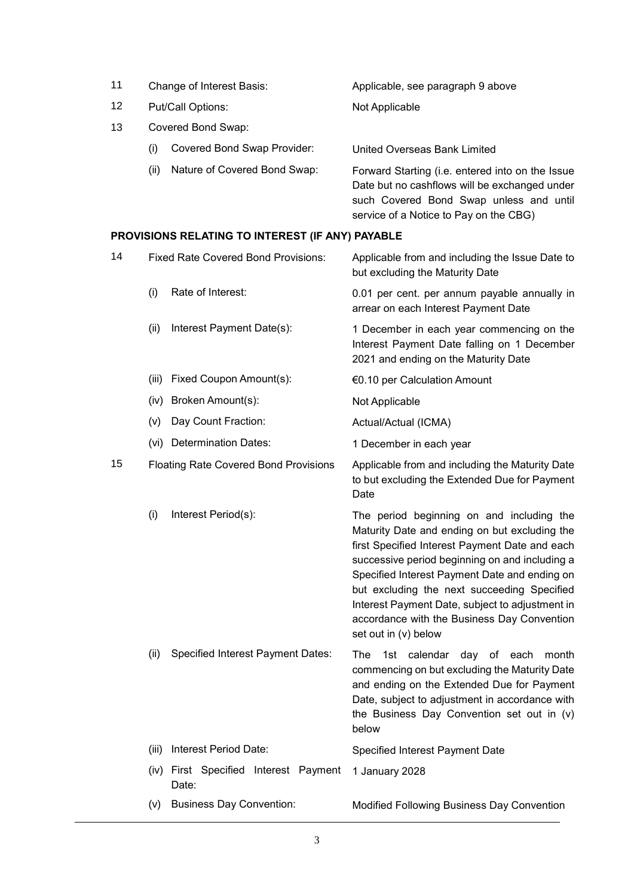- 11 Change of Interest Basis: Applicable, see paragraph 9 above
- 12 Put/Call Options: Not Applicable
- 13 Covered Bond Swap:
	- (i) Covered Bond Swap Provider: United Overseas Bank Limited
	-

(ii) Nature of Covered Bond Swap: Forward Starting (i.e. entered into on the Issue Date but no cashflows will be exchanged under such Covered Bond Swap unless and until service of a Notice to Pay on the CBG)

### **PROVISIONS RELATING TO INTEREST (IF ANY) PAYABLE**

|       |                                          | Applicable from and including the Issue Date to<br>but excluding the Maturity Date                                                                                                                                                                                                                                                                                                                                       |
|-------|------------------------------------------|--------------------------------------------------------------------------------------------------------------------------------------------------------------------------------------------------------------------------------------------------------------------------------------------------------------------------------------------------------------------------------------------------------------------------|
| (i)   | Rate of Interest:                        | 0.01 per cent. per annum payable annually in<br>arrear on each Interest Payment Date                                                                                                                                                                                                                                                                                                                                     |
| (ii)  | Interest Payment Date(s):                | 1 December in each year commencing on the<br>Interest Payment Date falling on 1 December<br>2021 and ending on the Maturity Date                                                                                                                                                                                                                                                                                         |
|       |                                          | €0.10 per Calculation Amount                                                                                                                                                                                                                                                                                                                                                                                             |
|       |                                          | Not Applicable                                                                                                                                                                                                                                                                                                                                                                                                           |
| (v)   | Day Count Fraction:                      | Actual/Actual (ICMA)                                                                                                                                                                                                                                                                                                                                                                                                     |
|       |                                          | 1 December in each year                                                                                                                                                                                                                                                                                                                                                                                                  |
|       |                                          | Applicable from and including the Maturity Date<br>to but excluding the Extended Due for Payment<br>Date                                                                                                                                                                                                                                                                                                                 |
| (i)   | Interest Period(s):                      | The period beginning on and including the<br>Maturity Date and ending on but excluding the<br>first Specified Interest Payment Date and each<br>successive period beginning on and including a<br>Specified Interest Payment Date and ending on<br>but excluding the next succeeding Specified<br>Interest Payment Date, subject to adjustment in<br>accordance with the Business Day Convention<br>set out in (v) below |
| (ii)  | <b>Specified Interest Payment Dates:</b> | 1st calendar day of each month<br>The<br>commencing on but excluding the Maturity Date<br>and ending on the Extended Due for Payment<br>Date, subject to adjustment in accordance with<br>the Business Day Convention set out in (v)<br>below                                                                                                                                                                            |
| (iii) | Interest Period Date:                    | Specified Interest Payment Date                                                                                                                                                                                                                                                                                                                                                                                          |
|       | Date:                                    | 1 January 2028                                                                                                                                                                                                                                                                                                                                                                                                           |
| (V)   | <b>Business Day Convention:</b>          | Modified Following Business Day Convention                                                                                                                                                                                                                                                                                                                                                                               |
|       |                                          | <b>Fixed Rate Covered Bond Provisions:</b><br>(iii) Fixed Coupon Amount(s):<br>(iv) Broken Amount(s):<br>(vi) Determination Dates:<br><b>Floating Rate Covered Bond Provisions</b><br>(iv) First Specified Interest Payment                                                                                                                                                                                              |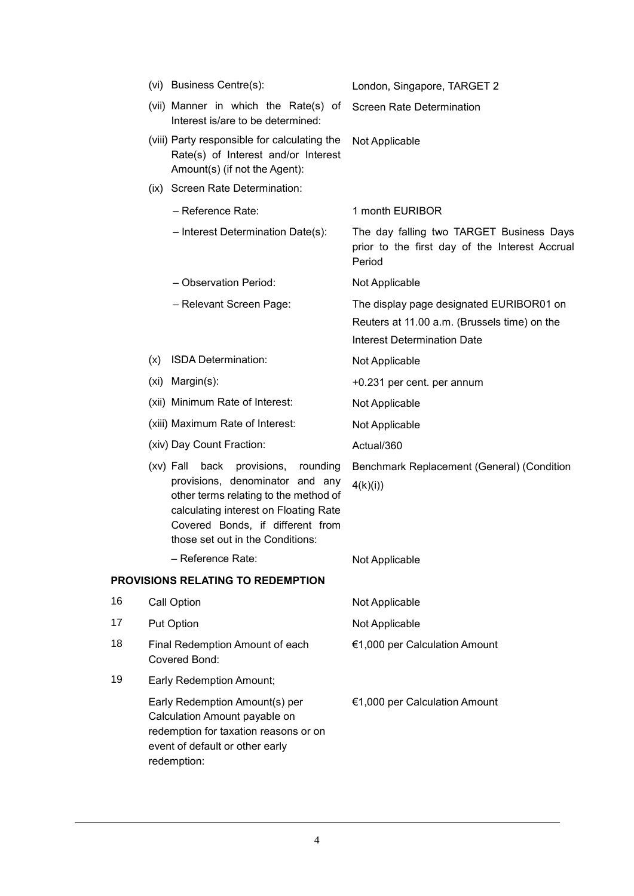|    | (vi) Business Centre(s):                                                                                                                                                                                                                    | London, Singapore, TARGET 2                                                                                                    |
|----|---------------------------------------------------------------------------------------------------------------------------------------------------------------------------------------------------------------------------------------------|--------------------------------------------------------------------------------------------------------------------------------|
|    | (vii) Manner in which the Rate(s) of<br>Interest is/are to be determined:                                                                                                                                                                   | <b>Screen Rate Determination</b>                                                                                               |
|    | (viii) Party responsible for calculating the<br>Rate(s) of Interest and/or Interest<br>Amount(s) (if not the Agent):                                                                                                                        | Not Applicable                                                                                                                 |
|    | (ix) Screen Rate Determination:                                                                                                                                                                                                             |                                                                                                                                |
|    | - Reference Rate:                                                                                                                                                                                                                           | 1 month EURIBOR                                                                                                                |
|    | - Interest Determination Date(s):                                                                                                                                                                                                           | The day falling two TARGET Business Days<br>prior to the first day of the Interest Accrual<br>Period                           |
|    | - Observation Period:                                                                                                                                                                                                                       | Not Applicable                                                                                                                 |
|    | - Relevant Screen Page:                                                                                                                                                                                                                     | The display page designated EURIBOR01 on<br>Reuters at 11.00 a.m. (Brussels time) on the<br><b>Interest Determination Date</b> |
|    | (x) ISDA Determination:                                                                                                                                                                                                                     | Not Applicable                                                                                                                 |
|    | (xi) Margin(s):                                                                                                                                                                                                                             | +0.231 per cent. per annum                                                                                                     |
|    | (xii) Minimum Rate of Interest:                                                                                                                                                                                                             | Not Applicable                                                                                                                 |
|    | (xiii) Maximum Rate of Interest:                                                                                                                                                                                                            | Not Applicable                                                                                                                 |
|    | (xiv) Day Count Fraction:                                                                                                                                                                                                                   | Actual/360                                                                                                                     |
|    | $(xv)$ Fall<br>back<br>provisions,<br>rounding<br>provisions, denominator and any<br>other terms relating to the method of<br>calculating interest on Floating Rate<br>Covered Bonds, if different from<br>those set out in the Conditions: | Benchmark Replacement (General) (Condition<br>4(k)(i)                                                                          |
|    | - Reference Rate:                                                                                                                                                                                                                           | Not Applicable                                                                                                                 |
|    | PROVISIONS RELATING TO REDEMPTION                                                                                                                                                                                                           |                                                                                                                                |
| 16 | Call Option                                                                                                                                                                                                                                 | Not Applicable                                                                                                                 |
| 17 | Put Option                                                                                                                                                                                                                                  | Not Applicable                                                                                                                 |
| 18 | Final Redemption Amount of each<br>Covered Bond:                                                                                                                                                                                            | €1,000 per Calculation Amount                                                                                                  |
| 19 | <b>Early Redemption Amount;</b>                                                                                                                                                                                                             |                                                                                                                                |
|    | Early Redemption Amount(s) per<br>Calculation Amount payable on<br>redemption for taxation reasons or on<br>event of default or other early<br>redemption:                                                                                  | €1,000 per Calculation Amount                                                                                                  |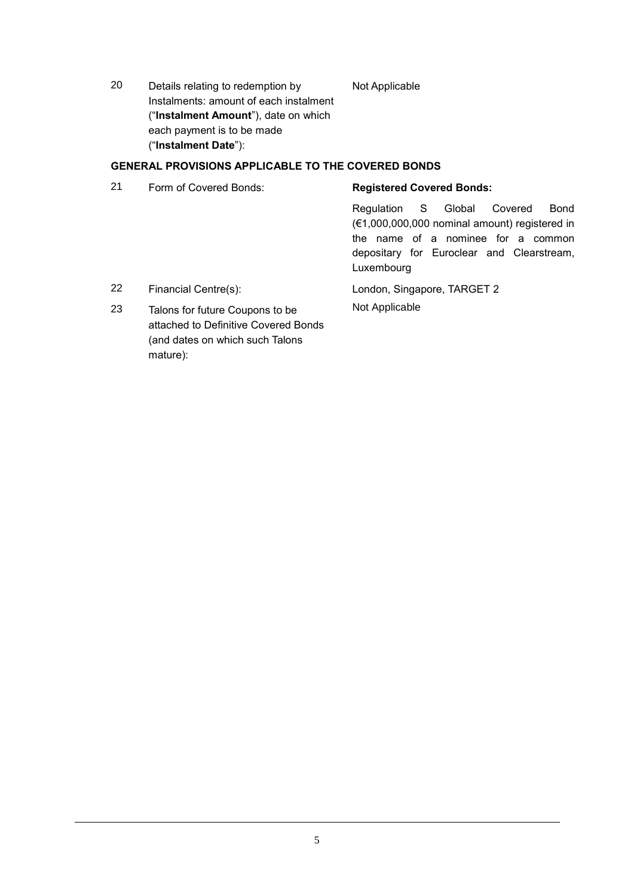20 Details relating to redemption by Instalments: amount of each instalment ("**Instalment Amount**"), date on which each payment is to be made ("**Instalment Date**"):

Not Applicable

# **GENERAL PROVISIONS APPLICABLE TO THE COVERED BONDS**

21 Form of Covered Bonds: **Registered Covered Bonds:**

Regulation S Global Covered Bond (€1,000,000,000 nominal amount) registered in the name of a nominee for a common depositary for Euroclear and Clearstream, Luxembourg

22 Financial Centre(s): London, Singapore, TARGET 2 Not Applicable

23 Talons for future Coupons to be attached to Definitive Covered Bonds (and dates on which such Talons mature):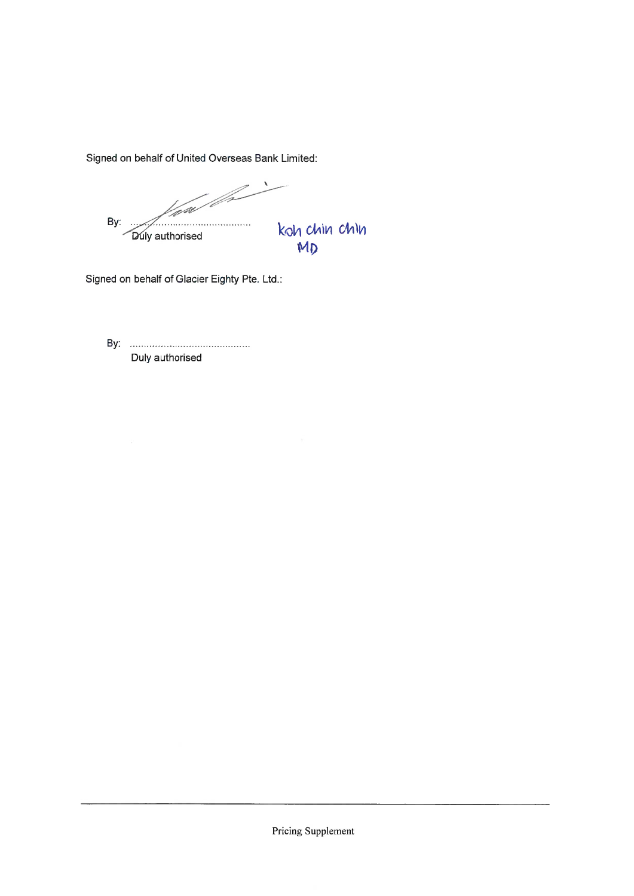Signed on behalf of United Overseas Bank Limited:

a Maria B Lai By: koh chin chin<br>MD Duly authorised

Signed on behalf of Glacier Eighty Pte. Ltd.:

Duly authorised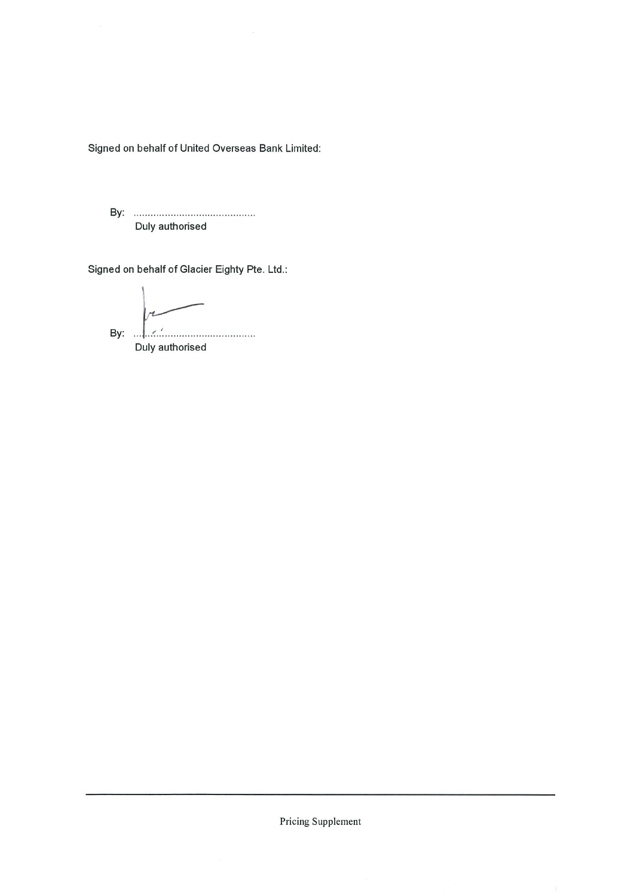Signed on behalf of United Overseas Bank Limited:

Duly authorised

Signed on behalf of Glacier Eighty Pte. Ltd.:

 $\overline{r}$ By:  $\left| \cdot \right|$  ...

Duly authorised

Pricing Supplement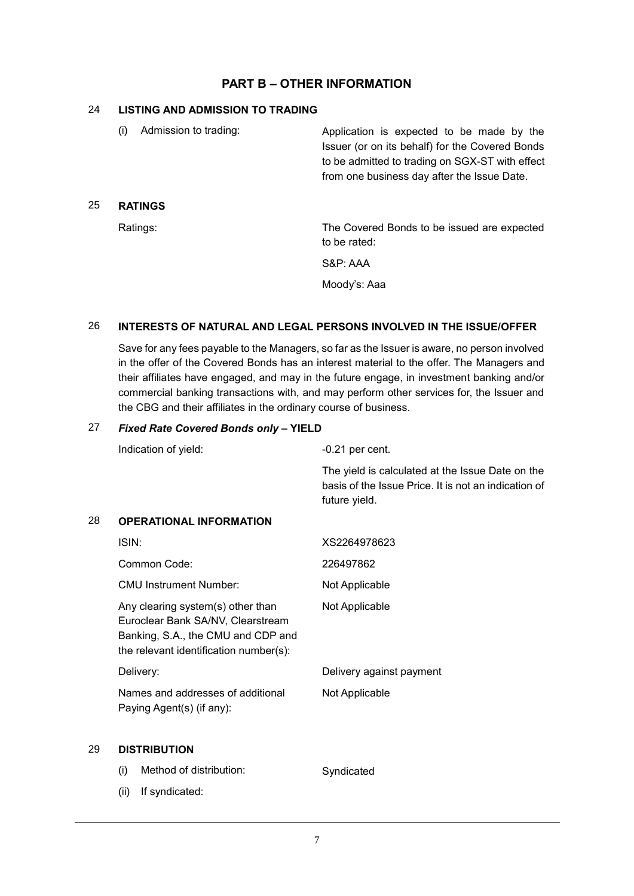# **PART B – OTHER INFORMATION**

#### 24 **LISTING AND ADMISSION TO TRADING**

25 **RATINGS**

| Admission to trading:<br>(i) | Application is expected to be made by the<br>Issuer (or on its behalf) for the Covered Bonds<br>to be admitted to trading on SGX-ST with effect<br>from one business day after the Issue Date. |
|------------------------------|------------------------------------------------------------------------------------------------------------------------------------------------------------------------------------------------|
| <b>RATINGS</b>               |                                                                                                                                                                                                |
| Ratings:                     | The Covered Bonds to be issued are expected<br>to be rated:                                                                                                                                    |
|                              | S&P: AAA                                                                                                                                                                                       |
|                              | Moodv's: Aaa                                                                                                                                                                                   |

#### 26 **INTERESTS OF NATURAL AND LEGAL PERSONS INVOLVED IN THE ISSUE/OFFER**

Save for any fees payable to the Managers, so far as the Issuer is aware, no person involved in the offer of the Covered Bonds has an interest material to the offer. The Managers and their affiliates have engaged, and may in the future engage, in investment banking and/or commercial banking transactions with, and may perform other services for, the Issuer and the CBG and their affiliates in the ordinary course of business.

# 27 *Fixed Rate Covered Bonds only* **– YIELD**

|    | Indication of yield:                                                                                                                                   | $-0.21$ per cent.                                                                                                         |  |
|----|--------------------------------------------------------------------------------------------------------------------------------------------------------|---------------------------------------------------------------------------------------------------------------------------|--|
|    |                                                                                                                                                        | The yield is calculated at the Issue Date on the<br>basis of the Issue Price. It is not an indication of<br>future yield. |  |
| 28 | <b>OPERATIONAL INFORMATION</b>                                                                                                                         |                                                                                                                           |  |
|    | ISIN:                                                                                                                                                  | XS2264978623                                                                                                              |  |
|    | Common Code:                                                                                                                                           | 226497862                                                                                                                 |  |
|    | <b>CMU Instrument Number:</b>                                                                                                                          | Not Applicable                                                                                                            |  |
|    | Any clearing system(s) other than<br>Euroclear Bank SA/NV, Clearstream<br>Banking, S.A., the CMU and CDP and<br>the relevant identification number(s): | Not Applicable                                                                                                            |  |
|    | Delivery:                                                                                                                                              | Delivery against payment                                                                                                  |  |
|    | Names and addresses of additional<br>Paying Agent(s) (if any):                                                                                         | Not Applicable                                                                                                            |  |
| 29 | <b>DISTRIBUTION</b>                                                                                                                                    |                                                                                                                           |  |
|    | (i)<br>Method of distribution:                                                                                                                         | Syndicated                                                                                                                |  |

(ii) If syndicated: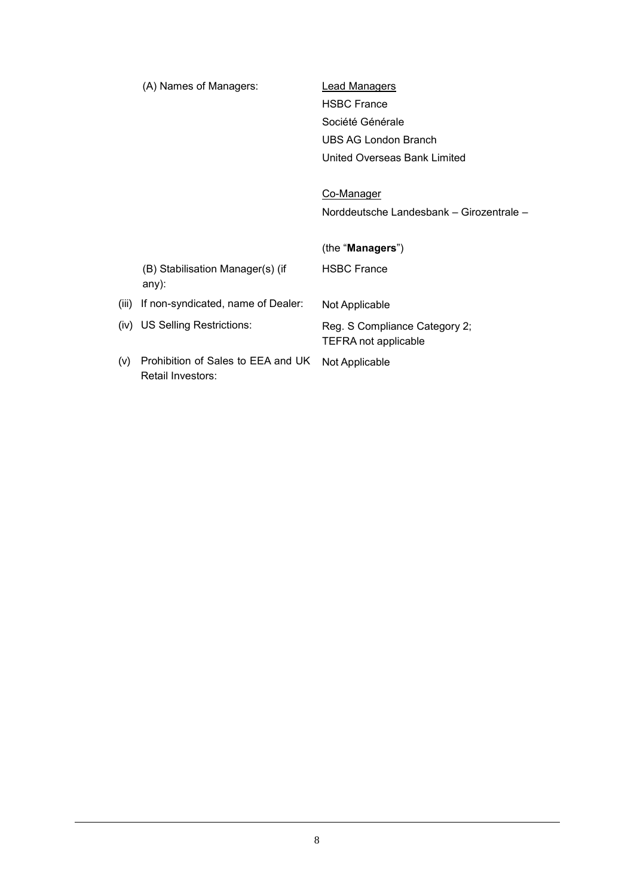|       | (A) Names of Managers:                                  | <b>Lead Managers</b>                                         |
|-------|---------------------------------------------------------|--------------------------------------------------------------|
|       |                                                         | <b>HSBC France</b>                                           |
|       |                                                         | Société Générale                                             |
|       |                                                         | UBS AG London Branch                                         |
|       |                                                         | United Overseas Bank Limited                                 |
|       |                                                         |                                                              |
|       |                                                         | Co-Manager                                                   |
|       |                                                         | Norddeutsche Landesbank - Girozentrale -                     |
|       |                                                         |                                                              |
|       |                                                         | (the "Managers")                                             |
|       | (B) Stabilisation Manager(s) (if<br>any):               | <b>HSBC France</b>                                           |
| (iii) | If non-syndicated, name of Dealer:                      | Not Applicable                                               |
|       | (iv) US Selling Restrictions:                           | Reg. S Compliance Category 2;<br><b>TEFRA not applicable</b> |
| (v)   | Prohibition of Sales to EEA and UK<br>Retail Investors: | Not Applicable                                               |
|       |                                                         |                                                              |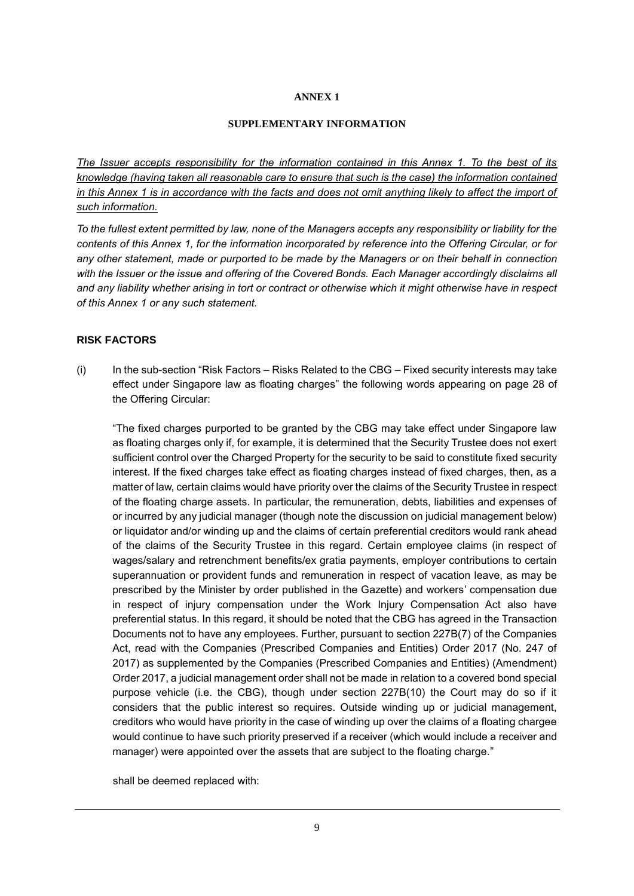#### **ANNEX 1**

#### **SUPPLEMENTARY INFORMATION**

*The Issuer accepts responsibility for the information contained in this Annex 1. To the best of its knowledge (having taken all reasonable care to ensure that such is the case) the information contained in this Annex 1 is in accordance with the facts and does not omit anything likely to affect the import of such information.*

*To the fullest extent permitted by law, none of the Managers accepts any responsibility or liability for the contents of this Annex 1, for the information incorporated by reference into the Offering Circular, or for any other statement, made or purported to be made by the Managers or on their behalf in connection with the Issuer or the issue and offering of the Covered Bonds. Each Manager accordingly disclaims all and any liability whether arising in tort or contract or otherwise which it might otherwise have in respect of this Annex 1 or any such statement.*

#### **RISK FACTORS**

(i) In the sub-section "Risk Factors – Risks Related to the CBG – Fixed security interests may take effect under Singapore law as floating charges" the following words appearing on page 28 of the Offering Circular:

"The fixed charges purported to be granted by the CBG may take effect under Singapore law as floating charges only if, for example, it is determined that the Security Trustee does not exert sufficient control over the Charged Property for the security to be said to constitute fixed security interest. If the fixed charges take effect as floating charges instead of fixed charges, then, as a matter of law, certain claims would have priority over the claims of the Security Trustee in respect of the floating charge assets. In particular, the remuneration, debts, liabilities and expenses of or incurred by any judicial manager (though note the discussion on judicial management below) or liquidator and/or winding up and the claims of certain preferential creditors would rank ahead of the claims of the Security Trustee in this regard. Certain employee claims (in respect of wages/salary and retrenchment benefits/ex gratia payments, employer contributions to certain superannuation or provident funds and remuneration in respect of vacation leave, as may be prescribed by the Minister by order published in the Gazette) and workers' compensation due in respect of injury compensation under the Work Injury Compensation Act also have preferential status. In this regard, it should be noted that the CBG has agreed in the Transaction Documents not to have any employees. Further, pursuant to section 227B(7) of the Companies Act, read with the Companies (Prescribed Companies and Entities) Order 2017 (No. 247 of 2017) as supplemented by the Companies (Prescribed Companies and Entities) (Amendment) Order 2017, a judicial management order shall not be made in relation to a covered bond special purpose vehicle (i.e. the CBG), though under section 227B(10) the Court may do so if it considers that the public interest so requires. Outside winding up or judicial management, creditors who would have priority in the case of winding up over the claims of a floating chargee would continue to have such priority preserved if a receiver (which would include a receiver and manager) were appointed over the assets that are subject to the floating charge."

shall be deemed replaced with: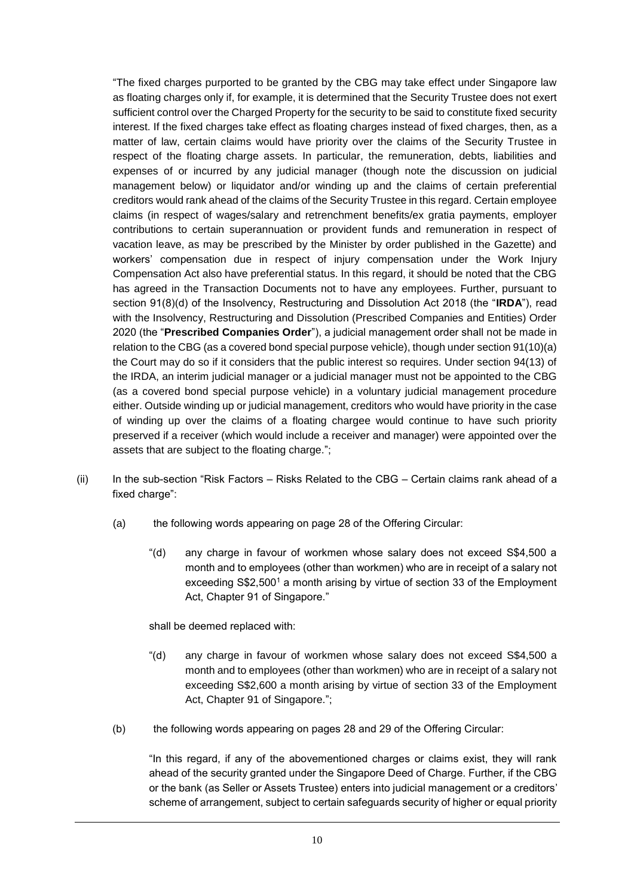"The fixed charges purported to be granted by the CBG may take effect under Singapore law as floating charges only if, for example, it is determined that the Security Trustee does not exert sufficient control over the Charged Property for the security to be said to constitute fixed security interest. If the fixed charges take effect as floating charges instead of fixed charges, then, as a matter of law, certain claims would have priority over the claims of the Security Trustee in respect of the floating charge assets. In particular, the remuneration, debts, liabilities and expenses of or incurred by any judicial manager (though note the discussion on judicial management below) or liquidator and/or winding up and the claims of certain preferential creditors would rank ahead of the claims of the Security Trustee in this regard. Certain employee claims (in respect of wages/salary and retrenchment benefits/ex gratia payments, employer contributions to certain superannuation or provident funds and remuneration in respect of vacation leave, as may be prescribed by the Minister by order published in the Gazette) and workers' compensation due in respect of injury compensation under the Work Injury Compensation Act also have preferential status. In this regard, it should be noted that the CBG has agreed in the Transaction Documents not to have any employees. Further, pursuant to section 91(8)(d) of the Insolvency, Restructuring and Dissolution Act 2018 (the "**IRDA**"), read with the Insolvency, Restructuring and Dissolution (Prescribed Companies and Entities) Order 2020 (the "**Prescribed Companies Order**"), a judicial management order shall not be made in relation to the CBG (as a covered bond special purpose vehicle), though under section 91(10)(a) the Court may do so if it considers that the public interest so requires. Under section 94(13) of the IRDA, an interim judicial manager or a judicial manager must not be appointed to the CBG (as a covered bond special purpose vehicle) in a voluntary judicial management procedure either. Outside winding up or judicial management, creditors who would have priority in the case of winding up over the claims of a floating chargee would continue to have such priority preserved if a receiver (which would include a receiver and manager) were appointed over the assets that are subject to the floating charge.";

- (ii) In the sub-section "Risk Factors Risks Related to the CBG Certain claims rank ahead of a fixed charge":
	- (a) the following words appearing on page 28 of the Offering Circular:
		- "(d) any charge in favour of workmen whose salary does not exceed S\$4,500 a month and to employees (other than workmen) who are in receipt of a salary not exceeding S\$2,500<sup>1</sup> a month arising by virtue of section 33 of the Employment Act, Chapter 91 of Singapore."

shall be deemed replaced with:

- "(d) any charge in favour of workmen whose salary does not exceed S\$4,500 a month and to employees (other than workmen) who are in receipt of a salary not exceeding S\$2,600 a month arising by virtue of section 33 of the Employment Act, Chapter 91 of Singapore.";
- (b) the following words appearing on pages 28 and 29 of the Offering Circular:

"In this regard, if any of the abovementioned charges or claims exist, they will rank ahead of the security granted under the Singapore Deed of Charge. Further, if the CBG or the bank (as Seller or Assets Trustee) enters into judicial management or a creditors' scheme of arrangement, subject to certain safeguards security of higher or equal priority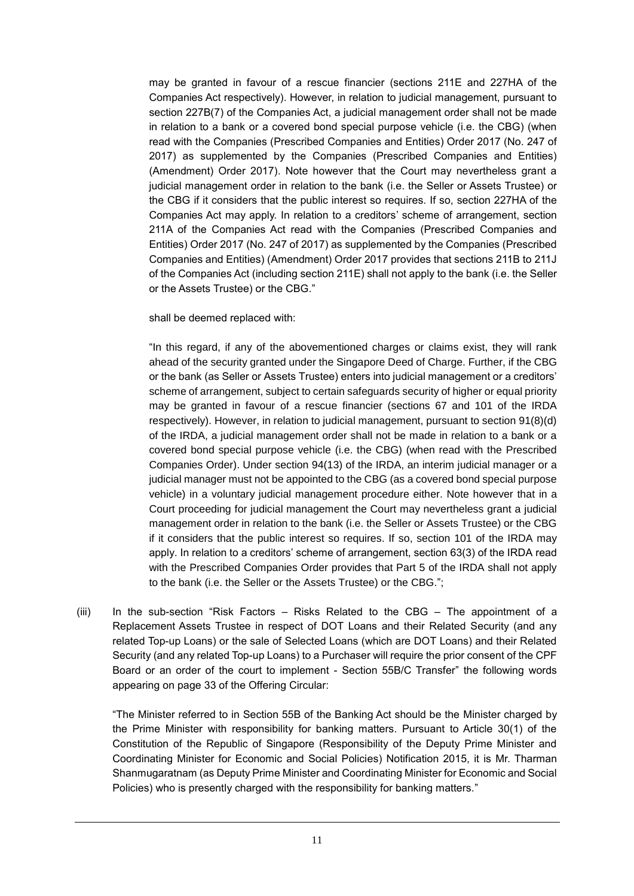may be granted in favour of a rescue financier (sections 211E and 227HA of the Companies Act respectively). However, in relation to judicial management, pursuant to section 227B(7) of the Companies Act, a judicial management order shall not be made in relation to a bank or a covered bond special purpose vehicle (i.e. the CBG) (when read with the Companies (Prescribed Companies and Entities) Order 2017 (No. 247 of 2017) as supplemented by the Companies (Prescribed Companies and Entities) (Amendment) Order 2017). Note however that the Court may nevertheless grant a judicial management order in relation to the bank (i.e. the Seller or Assets Trustee) or the CBG if it considers that the public interest so requires. If so, section 227HA of the Companies Act may apply. In relation to a creditors' scheme of arrangement, section 211A of the Companies Act read with the Companies (Prescribed Companies and Entities) Order 2017 (No. 247 of 2017) as supplemented by the Companies (Prescribed Companies and Entities) (Amendment) Order 2017 provides that sections 211B to 211J of the Companies Act (including section 211E) shall not apply to the bank (i.e. the Seller or the Assets Trustee) or the CBG."

shall be deemed replaced with:

"In this regard, if any of the abovementioned charges or claims exist, they will rank ahead of the security granted under the Singapore Deed of Charge. Further, if the CBG or the bank (as Seller or Assets Trustee) enters into judicial management or a creditors' scheme of arrangement, subject to certain safeguards security of higher or equal priority may be granted in favour of a rescue financier (sections 67 and 101 of the IRDA respectively). However, in relation to judicial management, pursuant to section 91(8)(d) of the IRDA, a judicial management order shall not be made in relation to a bank or a covered bond special purpose vehicle (i.e. the CBG) (when read with the Prescribed Companies Order). Under section 94(13) of the IRDA, an interim judicial manager or a judicial manager must not be appointed to the CBG (as a covered bond special purpose vehicle) in a voluntary judicial management procedure either. Note however that in a Court proceeding for judicial management the Court may nevertheless grant a judicial management order in relation to the bank (i.e. the Seller or Assets Trustee) or the CBG if it considers that the public interest so requires. If so, section 101 of the IRDA may apply. In relation to a creditors' scheme of arrangement, section 63(3) of the IRDA read with the Prescribed Companies Order provides that Part 5 of the IRDA shall not apply to the bank (i.e. the Seller or the Assets Trustee) or the CBG.";

(iii) In the sub-section "Risk Factors – Risks Related to the CBG – The appointment of a Replacement Assets Trustee in respect of DOT Loans and their Related Security (and any related Top-up Loans) or the sale of Selected Loans (which are DOT Loans) and their Related Security (and any related Top-up Loans) to a Purchaser will require the prior consent of the CPF Board or an order of the court to implement - Section 55B/C Transfer" the following words appearing on page 33 of the Offering Circular:

"The Minister referred to in Section 55B of the Banking Act should be the Minister charged by the Prime Minister with responsibility for banking matters. Pursuant to Article 30(1) of the Constitution of the Republic of Singapore (Responsibility of the Deputy Prime Minister and Coordinating Minister for Economic and Social Policies) Notification 2015, it is Mr. Tharman Shanmugaratnam (as Deputy Prime Minister and Coordinating Minister for Economic and Social Policies) who is presently charged with the responsibility for banking matters."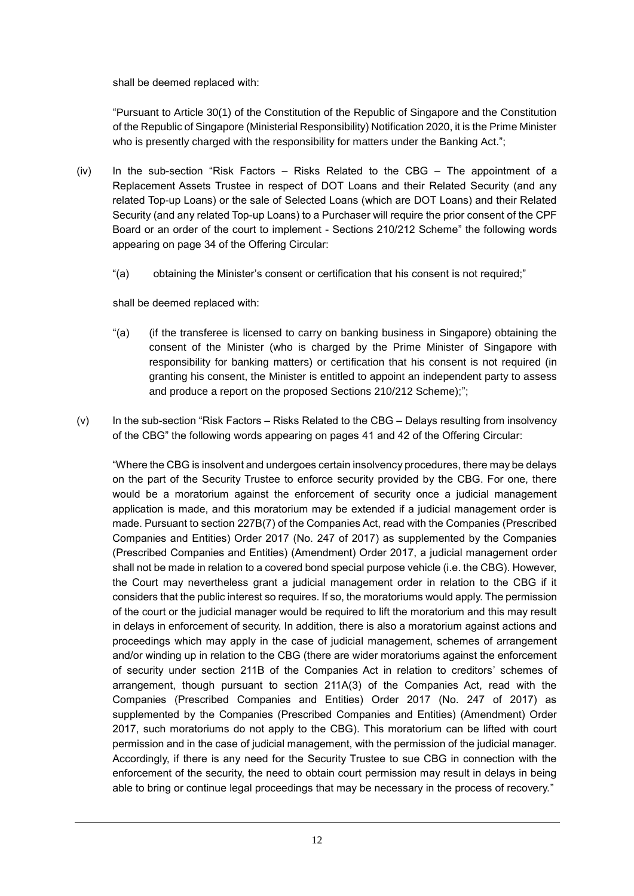shall be deemed replaced with:

"Pursuant to Article 30(1) of the Constitution of the Republic of Singapore and the Constitution of the Republic of Singapore (Ministerial Responsibility) Notification 2020, it is the Prime Minister who is presently charged with the responsibility for matters under the Banking Act.";

- (iv) In the sub-section "Risk Factors Risks Related to the CBG The appointment of a Replacement Assets Trustee in respect of DOT Loans and their Related Security (and any related Top-up Loans) or the sale of Selected Loans (which are DOT Loans) and their Related Security (and any related Top-up Loans) to a Purchaser will require the prior consent of the CPF Board or an order of the court to implement - Sections 210/212 Scheme" the following words appearing on page 34 of the Offering Circular:
	- "(a) obtaining the Minister's consent or certification that his consent is not required;"

shall be deemed replaced with:

- "(a) (if the transferee is licensed to carry on banking business in Singapore) obtaining the consent of the Minister (who is charged by the Prime Minister of Singapore with responsibility for banking matters) or certification that his consent is not required (in granting his consent, the Minister is entitled to appoint an independent party to assess and produce a report on the proposed Sections 210/212 Scheme);";
- (v) In the sub-section "Risk Factors Risks Related to the CBG Delays resulting from insolvency of the CBG" the following words appearing on pages 41 and 42 of the Offering Circular:

"Where the CBG is insolvent and undergoes certain insolvency procedures, there may be delays on the part of the Security Trustee to enforce security provided by the CBG. For one, there would be a moratorium against the enforcement of security once a judicial management application is made, and this moratorium may be extended if a judicial management order is made. Pursuant to section 227B(7) of the Companies Act, read with the Companies (Prescribed Companies and Entities) Order 2017 (No. 247 of 2017) as supplemented by the Companies (Prescribed Companies and Entities) (Amendment) Order 2017, a judicial management order shall not be made in relation to a covered bond special purpose vehicle (i.e. the CBG). However, the Court may nevertheless grant a judicial management order in relation to the CBG if it considers that the public interest so requires. If so, the moratoriums would apply. The permission of the court or the judicial manager would be required to lift the moratorium and this may result in delays in enforcement of security. In addition, there is also a moratorium against actions and proceedings which may apply in the case of judicial management, schemes of arrangement and/or winding up in relation to the CBG (there are wider moratoriums against the enforcement of security under section 211B of the Companies Act in relation to creditors' schemes of arrangement, though pursuant to section 211A(3) of the Companies Act, read with the Companies (Prescribed Companies and Entities) Order 2017 (No. 247 of 2017) as supplemented by the Companies (Prescribed Companies and Entities) (Amendment) Order 2017, such moratoriums do not apply to the CBG). This moratorium can be lifted with court permission and in the case of judicial management, with the permission of the judicial manager. Accordingly, if there is any need for the Security Trustee to sue CBG in connection with the enforcement of the security, the need to obtain court permission may result in delays in being able to bring or continue legal proceedings that may be necessary in the process of recovery."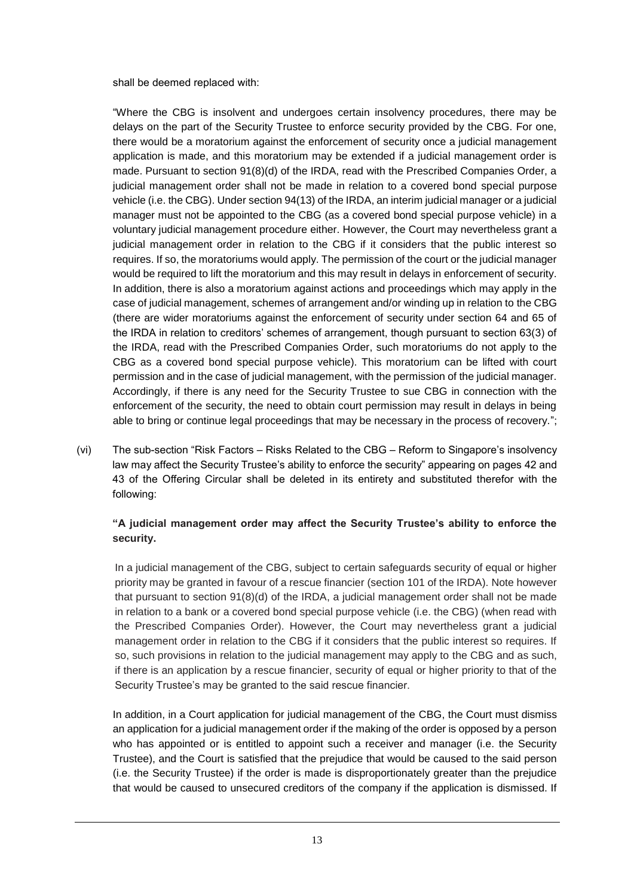shall be deemed replaced with:

"Where the CBG is insolvent and undergoes certain insolvency procedures, there may be delays on the part of the Security Trustee to enforce security provided by the CBG. For one, there would be a moratorium against the enforcement of security once a judicial management application is made, and this moratorium may be extended if a judicial management order is made. Pursuant to section 91(8)(d) of the IRDA, read with the Prescribed Companies Order, a judicial management order shall not be made in relation to a covered bond special purpose vehicle (i.e. the CBG). Under section 94(13) of the IRDA, an interim judicial manager or a judicial manager must not be appointed to the CBG (as a covered bond special purpose vehicle) in a voluntary judicial management procedure either. However, the Court may nevertheless grant a judicial management order in relation to the CBG if it considers that the public interest so requires. If so, the moratoriums would apply. The permission of the court or the judicial manager would be required to lift the moratorium and this may result in delays in enforcement of security. In addition, there is also a moratorium against actions and proceedings which may apply in the case of judicial management, schemes of arrangement and/or winding up in relation to the CBG (there are wider moratoriums against the enforcement of security under section 64 and 65 of the IRDA in relation to creditors' schemes of arrangement, though pursuant to section 63(3) of the IRDA, read with the Prescribed Companies Order, such moratoriums do not apply to the CBG as a covered bond special purpose vehicle). This moratorium can be lifted with court permission and in the case of judicial management, with the permission of the judicial manager. Accordingly, if there is any need for the Security Trustee to sue CBG in connection with the enforcement of the security, the need to obtain court permission may result in delays in being able to bring or continue legal proceedings that may be necessary in the process of recovery.";

(vi) The sub-section "Risk Factors – Risks Related to the CBG – Reform to Singapore's insolvency law may affect the Security Trustee's ability to enforce the security" appearing on pages 42 and 43 of the Offering Circular shall be deleted in its entirety and substituted therefor with the following:

# **"A judicial management order may affect the Security Trustee's ability to enforce the security.**

In a judicial management of the CBG, subject to certain safeguards security of equal or higher priority may be granted in favour of a rescue financier (section 101 of the IRDA). Note however that pursuant to section 91(8)(d) of the IRDA, a judicial management order shall not be made in relation to a bank or a covered bond special purpose vehicle (i.e. the CBG) (when read with the Prescribed Companies Order). However, the Court may nevertheless grant a judicial management order in relation to the CBG if it considers that the public interest so requires. If so, such provisions in relation to the judicial management may apply to the CBG and as such, if there is an application by a rescue financier, security of equal or higher priority to that of the Security Trustee's may be granted to the said rescue financier.

In addition, in a Court application for judicial management of the CBG, the Court must dismiss an application for a judicial management order if the making of the order is opposed by a person who has appointed or is entitled to appoint such a receiver and manager (i.e. the Security Trustee), and the Court is satisfied that the prejudice that would be caused to the said person (i.e. the Security Trustee) if the order is made is disproportionately greater than the prejudice that would be caused to unsecured creditors of the company if the application is dismissed. If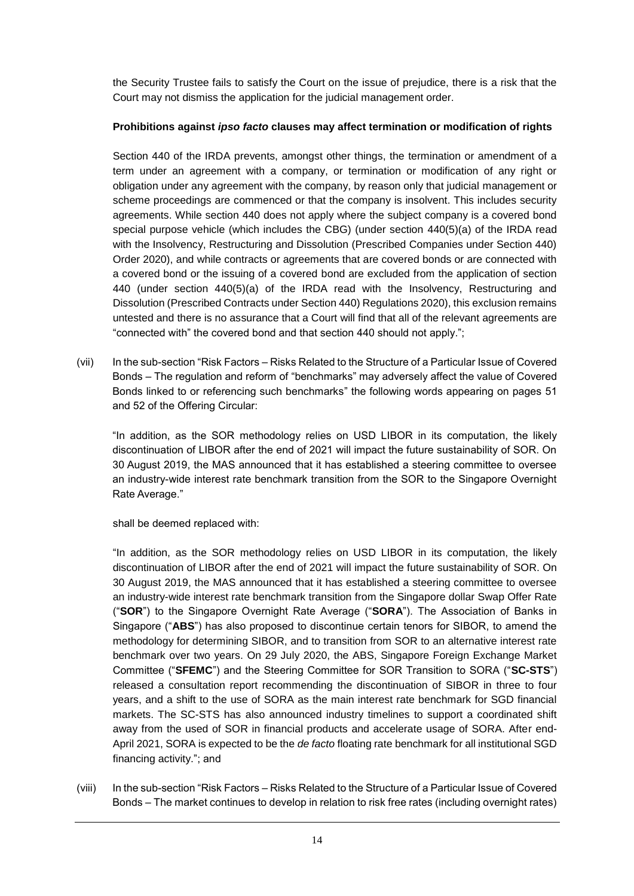the Security Trustee fails to satisfy the Court on the issue of prejudice, there is a risk that the Court may not dismiss the application for the judicial management order.

# **Prohibitions against** *ipso facto* **clauses may affect termination or modification of rights**

Section 440 of the IRDA prevents, amongst other things, the termination or amendment of a term under an agreement with a company, or termination or modification of any right or obligation under any agreement with the company, by reason only that judicial management or scheme proceedings are commenced or that the company is insolvent. This includes security agreements. While section 440 does not apply where the subject company is a covered bond special purpose vehicle (which includes the CBG) (under section 440(5)(a) of the IRDA read with the Insolvency, Restructuring and Dissolution (Prescribed Companies under Section 440) Order 2020), and while contracts or agreements that are covered bonds or are connected with a covered bond or the issuing of a covered bond are excluded from the application of section 440 (under section 440(5)(a) of the IRDA read with the Insolvency, Restructuring and Dissolution (Prescribed Contracts under Section 440) Regulations 2020), this exclusion remains untested and there is no assurance that a Court will find that all of the relevant agreements are "connected with" the covered bond and that section 440 should not apply.";

(vii) In the sub-section "Risk Factors – Risks Related to the Structure of a Particular Issue of Covered Bonds – The regulation and reform of "benchmarks" may adversely affect the value of Covered Bonds linked to or referencing such benchmarks" the following words appearing on pages 51 and 52 of the Offering Circular:

"In addition, as the SOR methodology relies on USD LIBOR in its computation, the likely discontinuation of LIBOR after the end of 2021 will impact the future sustainability of SOR. On 30 August 2019, the MAS announced that it has established a steering committee to oversee an industry-wide interest rate benchmark transition from the SOR to the Singapore Overnight Rate Average."

shall be deemed replaced with:

"In addition, as the SOR methodology relies on USD LIBOR in its computation, the likely discontinuation of LIBOR after the end of 2021 will impact the future sustainability of SOR. On 30 August 2019, the MAS announced that it has established a steering committee to oversee an industry-wide interest rate benchmark transition from the Singapore dollar Swap Offer Rate ("**SOR**") to the Singapore Overnight Rate Average ("**SORA**"). The Association of Banks in Singapore ("**ABS**") has also proposed to discontinue certain tenors for SIBOR, to amend the methodology for determining SIBOR, and to transition from SOR to an alternative interest rate benchmark over two years. On 29 July 2020, the ABS, Singapore Foreign Exchange Market Committee ("**SFEMC**") and the Steering Committee for SOR Transition to SORA ("**SC-STS**") released a consultation report recommending the discontinuation of SIBOR in three to four years, and a shift to the use of SORA as the main interest rate benchmark for SGD financial markets. The SC-STS has also announced industry timelines to support a coordinated shift away from the used of SOR in financial products and accelerate usage of SORA. After end-April 2021, SORA is expected to be the *de facto* floating rate benchmark for all institutional SGD financing activity."; and

(viii) In the sub-section "Risk Factors – Risks Related to the Structure of a Particular Issue of Covered Bonds – The market continues to develop in relation to risk free rates (including overnight rates)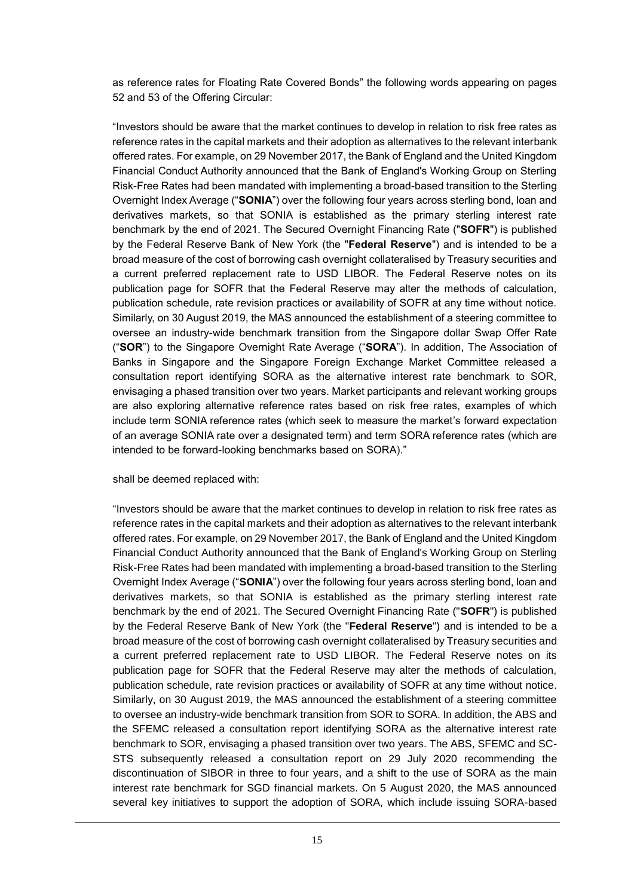as reference rates for Floating Rate Covered Bonds" the following words appearing on pages 52 and 53 of the Offering Circular:

"Investors should be aware that the market continues to develop in relation to risk free rates as reference rates in the capital markets and their adoption as alternatives to the relevant interbank offered rates. For example, on 29 November 2017, the Bank of England and the United Kingdom Financial Conduct Authority announced that the Bank of England's Working Group on Sterling Risk-Free Rates had been mandated with implementing a broad-based transition to the Sterling Overnight Index Average ("**SONIA**") over the following four years across sterling bond, loan and derivatives markets, so that SONIA is established as the primary sterling interest rate benchmark by the end of 2021. The Secured Overnight Financing Rate ("**SOFR**") is published by the Federal Reserve Bank of New York (the "**Federal Reserve**") and is intended to be a broad measure of the cost of borrowing cash overnight collateralised by Treasury securities and a current preferred replacement rate to USD LIBOR. The Federal Reserve notes on its publication page for SOFR that the Federal Reserve may alter the methods of calculation, publication schedule, rate revision practices or availability of SOFR at any time without notice. Similarly, on 30 August 2019, the MAS announced the establishment of a steering committee to oversee an industry-wide benchmark transition from the Singapore dollar Swap Offer Rate ("**SOR**") to the Singapore Overnight Rate Average ("**SORA**"). In addition, The Association of Banks in Singapore and the Singapore Foreign Exchange Market Committee released a consultation report identifying SORA as the alternative interest rate benchmark to SOR, envisaging a phased transition over two years. Market participants and relevant working groups are also exploring alternative reference rates based on risk free rates, examples of which include term SONIA reference rates (which seek to measure the market's forward expectation of an average SONIA rate over a designated term) and term SORA reference rates (which are intended to be forward-looking benchmarks based on SORA)."

shall be deemed replaced with:

"Investors should be aware that the market continues to develop in relation to risk free rates as reference rates in the capital markets and their adoption as alternatives to the relevant interbank offered rates. For example, on 29 November 2017, the Bank of England and the United Kingdom Financial Conduct Authority announced that the Bank of England's Working Group on Sterling Risk-Free Rates had been mandated with implementing a broad-based transition to the Sterling Overnight Index Average ("**SONIA**") over the following four years across sterling bond, loan and derivatives markets, so that SONIA is established as the primary sterling interest rate benchmark by the end of 2021. The Secured Overnight Financing Rate ("**SOFR**") is published by the Federal Reserve Bank of New York (the "**Federal Reserve**") and is intended to be a broad measure of the cost of borrowing cash overnight collateralised by Treasury securities and a current preferred replacement rate to USD LIBOR. The Federal Reserve notes on its publication page for SOFR that the Federal Reserve may alter the methods of calculation, publication schedule, rate revision practices or availability of SOFR at any time without notice. Similarly, on 30 August 2019, the MAS announced the establishment of a steering committee to oversee an industry-wide benchmark transition from SOR to SORA. In addition, the ABS and the SFEMC released a consultation report identifying SORA as the alternative interest rate benchmark to SOR, envisaging a phased transition over two years. The ABS, SFEMC and SC-STS subsequently released a consultation report on 29 July 2020 recommending the discontinuation of SIBOR in three to four years, and a shift to the use of SORA as the main interest rate benchmark for SGD financial markets. On 5 August 2020, the MAS announced several key initiatives to support the adoption of SORA, which include issuing SORA-based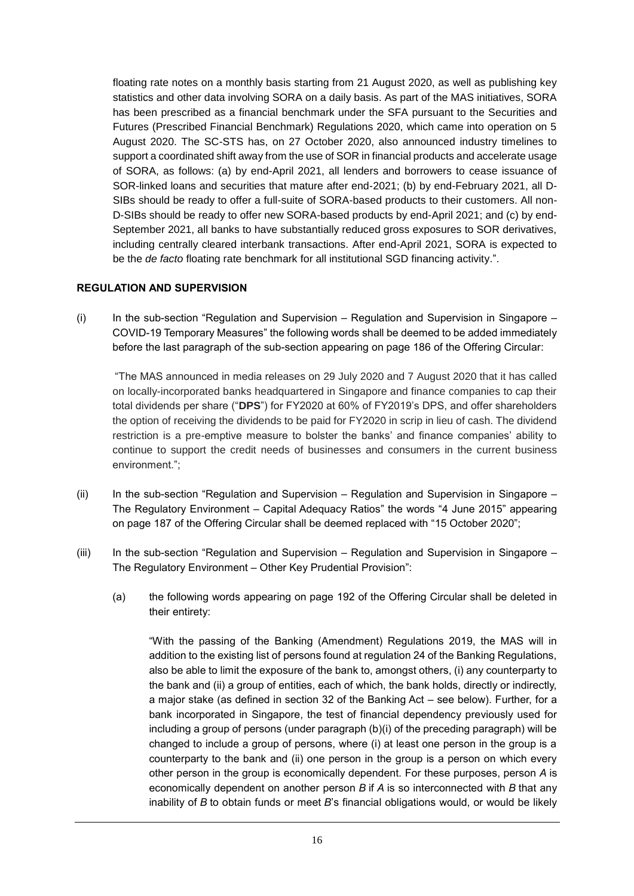floating rate notes on a monthly basis starting from 21 August 2020, as well as publishing key statistics and other data involving SORA on a daily basis. As part of the MAS initiatives, SORA has been prescribed as a financial benchmark under the SFA pursuant to the Securities and Futures (Prescribed Financial Benchmark) Regulations 2020, which came into operation on 5 August 2020. The SC-STS has, on 27 October 2020, also announced industry timelines to support a coordinated shift away from the use of SOR in financial products and accelerate usage of SORA, as follows: (a) by end-April 2021, all lenders and borrowers to cease issuance of SOR-linked loans and securities that mature after end-2021; (b) by end-February 2021, all D-SIBs should be ready to offer a full-suite of SORA-based products to their customers. All non-D-SIBs should be ready to offer new SORA-based products by end-April 2021; and (c) by end-September 2021, all banks to have substantially reduced gross exposures to SOR derivatives, including centrally cleared interbank transactions. After end-April 2021, SORA is expected to be the *de facto* floating rate benchmark for all institutional SGD financing activity.".

# **REGULATION AND SUPERVISION**

(i) In the sub-section "Regulation and Supervision *–* Regulation and Supervision in Singapore – COVID-19 Temporary Measures" the following words shall be deemed to be added immediately before the last paragraph of the sub-section appearing on page 186 of the Offering Circular:

"The MAS announced in media releases on 29 July 2020 and 7 August 2020 that it has called on locally-incorporated banks headquartered in Singapore and finance companies to cap their total dividends per share ("**DPS**") for FY2020 at 60% of FY2019's DPS, and offer shareholders the option of receiving the dividends to be paid for FY2020 in scrip in lieu of cash. The dividend restriction is a pre-emptive measure to bolster the banks' and finance companies' ability to continue to support the credit needs of businesses and consumers in the current business environment.";

- (ii) In the sub-section "Regulation and Supervision *–* Regulation and Supervision in Singapore The Regulatory Environment – Capital Adequacy Ratios" the words "4 June 2015" appearing on page 187 of the Offering Circular shall be deemed replaced with "15 October 2020";
- (iii) In the sub-section "Regulation and Supervision *–* Regulation and Supervision in Singapore The Regulatory Environment – Other Key Prudential Provision":
	- (a) the following words appearing on page 192 of the Offering Circular shall be deleted in their entirety:

"With the passing of the Banking (Amendment) Regulations 2019, the MAS will in addition to the existing list of persons found at regulation 24 of the Banking Regulations, also be able to limit the exposure of the bank to, amongst others, (i) any counterparty to the bank and (ii) a group of entities, each of which, the bank holds, directly or indirectly, a major stake (as defined in section 32 of the Banking Act – see below). Further, for a bank incorporated in Singapore, the test of financial dependency previously used for including a group of persons (under paragraph (b)(i) of the preceding paragraph) will be changed to include a group of persons, where (i) at least one person in the group is a counterparty to the bank and (ii) one person in the group is a person on which every other person in the group is economically dependent. For these purposes, person *A* is economically dependent on another person *B* if *A* is so interconnected with *B* that any inability of *B* to obtain funds or meet *B*'s financial obligations would, or would be likely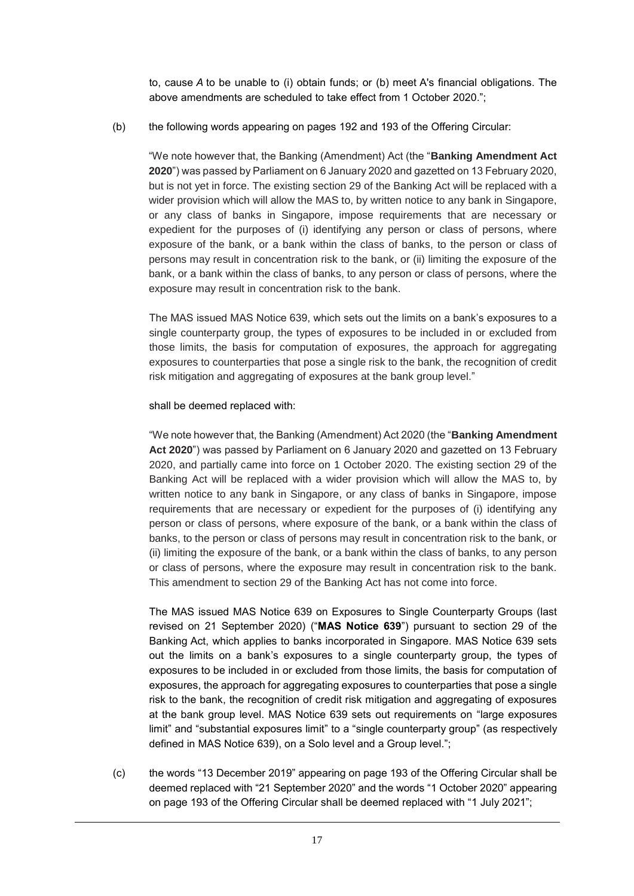to, cause *A* to be unable to (i) obtain funds; or (b) meet A's financial obligations. The above amendments are scheduled to take effect from 1 October 2020.";

(b) the following words appearing on pages 192 and 193 of the Offering Circular:

"We note however that, the Banking (Amendment) Act (the "**Banking Amendment Act 2020**") was passed by Parliament on 6 January 2020 and gazetted on 13 February 2020, but is not yet in force. The existing section 29 of the Banking Act will be replaced with a wider provision which will allow the MAS to, by written notice to any bank in Singapore, or any class of banks in Singapore, impose requirements that are necessary or expedient for the purposes of (i) identifying any person or class of persons, where exposure of the bank, or a bank within the class of banks, to the person or class of persons may result in concentration risk to the bank, or (ii) limiting the exposure of the bank, or a bank within the class of banks, to any person or class of persons, where the exposure may result in concentration risk to the bank.

The MAS issued MAS Notice 639, which sets out the limits on a bank's exposures to a single counterparty group, the types of exposures to be included in or excluded from those limits, the basis for computation of exposures, the approach for aggregating exposures to counterparties that pose a single risk to the bank, the recognition of credit risk mitigation and aggregating of exposures at the bank group level."

shall be deemed replaced with:

"We note however that, the Banking (Amendment) Act 2020 (the "**Banking Amendment Act 2020**") was passed by Parliament on 6 January 2020 and gazetted on 13 February 2020, and partially came into force on 1 October 2020. The existing section 29 of the Banking Act will be replaced with a wider provision which will allow the MAS to, by written notice to any bank in Singapore, or any class of banks in Singapore, impose requirements that are necessary or expedient for the purposes of (i) identifying any person or class of persons, where exposure of the bank, or a bank within the class of banks, to the person or class of persons may result in concentration risk to the bank, or (ii) limiting the exposure of the bank, or a bank within the class of banks, to any person or class of persons, where the exposure may result in concentration risk to the bank. This amendment to section 29 of the Banking Act has not come into force.

The MAS issued MAS Notice 639 on Exposures to Single Counterparty Groups (last revised on 21 September 2020) ("**MAS Notice 639**") pursuant to section 29 of the Banking Act, which applies to banks incorporated in Singapore. MAS Notice 639 sets out the limits on a bank's exposures to a single counterparty group, the types of exposures to be included in or excluded from those limits, the basis for computation of exposures, the approach for aggregating exposures to counterparties that pose a single risk to the bank, the recognition of credit risk mitigation and aggregating of exposures at the bank group level. MAS Notice 639 sets out requirements on "large exposures limit" and "substantial exposures limit" to a "single counterparty group" (as respectively defined in MAS Notice 639), on a Solo level and a Group level.";

(c) the words "13 December 2019" appearing on page 193 of the Offering Circular shall be deemed replaced with "21 September 2020" and the words "1 October 2020" appearing on page 193 of the Offering Circular shall be deemed replaced with "1 July 2021";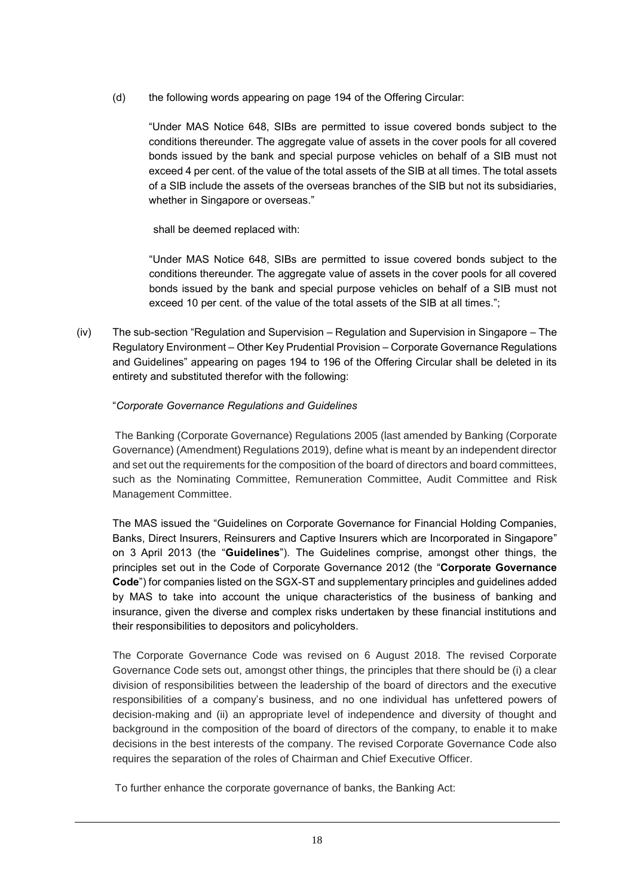(d) the following words appearing on page 194 of the Offering Circular:

"Under MAS Notice 648, SIBs are permitted to issue covered bonds subject to the conditions thereunder. The aggregate value of assets in the cover pools for all covered bonds issued by the bank and special purpose vehicles on behalf of a SIB must not exceed 4 per cent. of the value of the total assets of the SIB at all times. The total assets of a SIB include the assets of the overseas branches of the SIB but not its subsidiaries, whether in Singapore or overseas."

shall be deemed replaced with:

"Under MAS Notice 648, SIBs are permitted to issue covered bonds subject to the conditions thereunder. The aggregate value of assets in the cover pools for all covered bonds issued by the bank and special purpose vehicles on behalf of a SIB must not exceed 10 per cent. of the value of the total assets of the SIB at all times.";

(iv) The sub-section "Regulation and Supervision *–* Regulation and Supervision in Singapore – The Regulatory Environment – Other Key Prudential Provision – Corporate Governance Regulations and Guidelines" appearing on pages 194 to 196 of the Offering Circular shall be deleted in its entirety and substituted therefor with the following:

# "*Corporate Governance Regulations and Guidelines*

The Banking (Corporate Governance) Regulations 2005 (last amended by Banking (Corporate Governance) (Amendment) Regulations 2019), define what is meant by an independent director and set out the requirements for the composition of the board of directors and board committees, such as the Nominating Committee, Remuneration Committee, Audit Committee and Risk Management Committee.

The MAS issued the "Guidelines on Corporate Governance for Financial Holding Companies, Banks, Direct Insurers, Reinsurers and Captive Insurers which are Incorporated in Singapore" on 3 April 2013 (the "**Guidelines**"). The Guidelines comprise, amongst other things, the principles set out in the Code of Corporate Governance 2012 (the "**Corporate Governance Code**") for companies listed on the SGX-ST and supplementary principles and guidelines added by MAS to take into account the unique characteristics of the business of banking and insurance, given the diverse and complex risks undertaken by these financial institutions and their responsibilities to depositors and policyholders.

The Corporate Governance Code was revised on 6 August 2018. The revised Corporate Governance Code sets out, amongst other things, the principles that there should be (i) a clear division of responsibilities between the leadership of the board of directors and the executive responsibilities of a company's business, and no one individual has unfettered powers of decision-making and (ii) an appropriate level of independence and diversity of thought and background in the composition of the board of directors of the company, to enable it to make decisions in the best interests of the company. The revised Corporate Governance Code also requires the separation of the roles of Chairman and Chief Executive Officer.

To further enhance the corporate governance of banks, the Banking Act: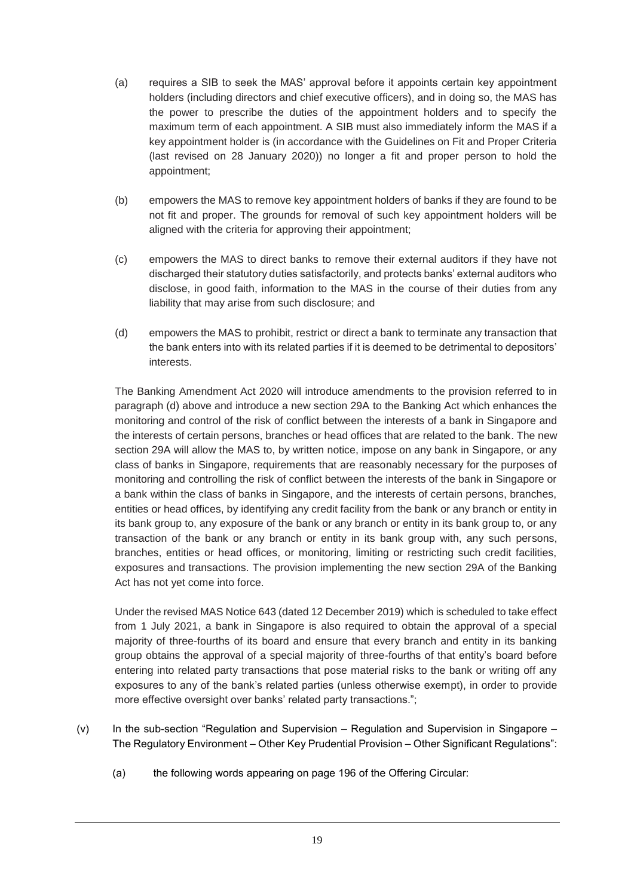- (a) requires a SIB to seek the MAS' approval before it appoints certain key appointment holders (including directors and chief executive officers), and in doing so, the MAS has the power to prescribe the duties of the appointment holders and to specify the maximum term of each appointment. A SIB must also immediately inform the MAS if a key appointment holder is (in accordance with the Guidelines on Fit and Proper Criteria (last revised on 28 January 2020)) no longer a fit and proper person to hold the appointment;
- (b) empowers the MAS to remove key appointment holders of banks if they are found to be not fit and proper. The grounds for removal of such key appointment holders will be aligned with the criteria for approving their appointment;
- (c) empowers the MAS to direct banks to remove their external auditors if they have not discharged their statutory duties satisfactorily, and protects banks' external auditors who disclose, in good faith, information to the MAS in the course of their duties from any liability that may arise from such disclosure; and
- (d) empowers the MAS to prohibit, restrict or direct a bank to terminate any transaction that the bank enters into with its related parties if it is deemed to be detrimental to depositors' interests.

The Banking Amendment Act 2020 will introduce amendments to the provision referred to in paragraph (d) above and introduce a new section 29A to the Banking Act which enhances the monitoring and control of the risk of conflict between the interests of a bank in Singapore and the interests of certain persons, branches or head offices that are related to the bank. The new section 29A will allow the MAS to, by written notice, impose on any bank in Singapore, or any class of banks in Singapore, requirements that are reasonably necessary for the purposes of monitoring and controlling the risk of conflict between the interests of the bank in Singapore or a bank within the class of banks in Singapore, and the interests of certain persons, branches, entities or head offices, by identifying any credit facility from the bank or any branch or entity in its bank group to, any exposure of the bank or any branch or entity in its bank group to, or any transaction of the bank or any branch or entity in its bank group with, any such persons, branches, entities or head offices, or monitoring, limiting or restricting such credit facilities, exposures and transactions. The provision implementing the new section 29A of the Banking Act has not yet come into force.

Under the revised MAS Notice 643 (dated 12 December 2019) which is scheduled to take effect from 1 July 2021, a bank in Singapore is also required to obtain the approval of a special majority of three-fourths of its board and ensure that every branch and entity in its banking group obtains the approval of a special majority of three-fourths of that entity's board before entering into related party transactions that pose material risks to the bank or writing off any exposures to any of the bank's related parties (unless otherwise exempt), in order to provide more effective oversight over banks' related party transactions.";

- (v) In the sub-section "Regulation and Supervision *–* Regulation and Supervision in Singapore The Regulatory Environment – Other Key Prudential Provision – Other Significant Regulations":
	- (a) the following words appearing on page 196 of the Offering Circular: